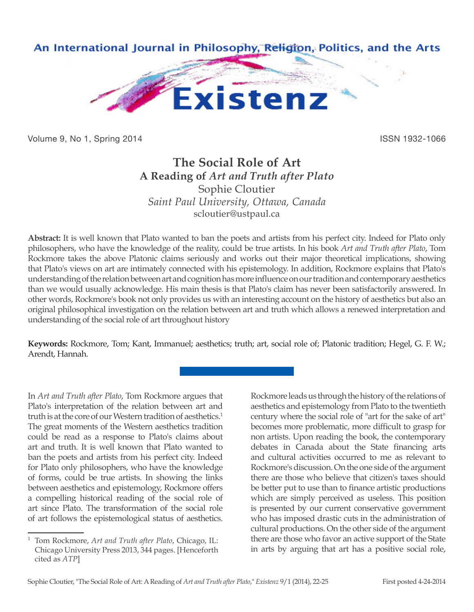

Volume 9, No 1, Spring 2014 **ISSN 1932-1066** 

## **The Social Role of Art A Reading of** *Art and Truth after Plato* Sophie Cloutier *Saint Paul University, Ottawa, Canada* scloutier@ustpaul.ca

**Abstract:** It is well known that Plato wanted to ban the poets and artists from his perfect city. Indeed for Plato only philosophers, who have the knowledge of the reality, could be true artists. In his book *Art and Truth after Plato*, Tom Rockmore takes the above Platonic claims seriously and works out their major theoretical implications, showing that Plato's views on art are intimately connected with his epistemology. In addition, Rockmore explains that Plato's understanding of the relation between art and cognition has more influence on our tradition and contemporary aesthetics than we would usually acknowledge. His main thesis is that Plato's claim has never been satisfactorily answered. In other words, Rockmore's book not only provides us with an interesting account on the history of aesthetics but also an original philosophical investigation on the relation between art and truth which allows a renewed interpretation and understanding of the social role of art throughout history

**Keywords:** Rockmore, Tom; Kant, Immanuel; aesthetics; truth; art, social role of; Platonic tradition; Hegel, G. F. W.; Arendt, Hannah.

In *Art and Truth after Plato*, Tom Rockmore argues that Plato's interpretation of the relation between art and truth is at the core of our Western tradition of aesthetics.<sup>1</sup> The great moments of the Western aesthetics tradition could be read as a response to Plato's claims about art and truth. It is well known that Plato wanted to ban the poets and artists from his perfect city. Indeed for Plato only philosophers, who have the knowledge of forms, could be true artists. In showing the links between aesthetics and epistemology, Rockmore offers a compelling historical reading of the social role of art since Plato. The transformation of the social role of art follows the epistemological status of aesthetics.

Rockmore leads us through the history of the relations of aesthetics and epistemology from Plato to the twentieth century where the social role of "art for the sake of art" becomes more problematic, more difficult to grasp for non artists. Upon reading the book, the contemporary debates in Canada about the State financing arts and cultural activities occurred to me as relevant to Rockmore's discussion. On the one side of the argument there are those who believe that citizen's taxes should be better put to use than to finance artistic productions which are simply perceived as useless. This position is presented by our current conservative government who has imposed drastic cuts in the administration of cultural productions. On the other side of the argument there are those who favor an active support of the State in arts by arguing that art has a positive social role,

<sup>1</sup> Tom Rockmore, *Art and Truth after Plato*, Chicago, IL: Chicago University Press 2013, 344 pages. [Henceforth cited as *ATP*]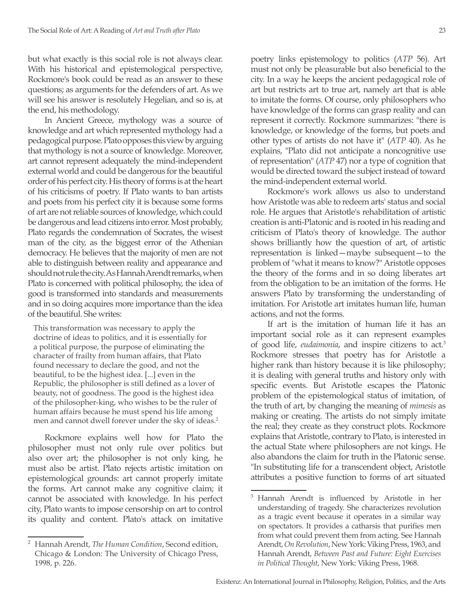but what exactly is this social role is not always clear. With his historical and epistemological perspective, Rockmore's book could be read as an answer to these questions; as arguments for the defenders of art. As we will see his answer is resolutely Hegelian, and so is, at the end, his methodology.

In Ancient Greece, mythology was a source of knowledge and art which represented mythology had a pedagogical purpose. Plato opposes this view by arguing that mythology is not a source of knowledge. Moreover, art cannot represent adequately the mind-independent external world and could be dangerous for the beautiful order of his perfect city. His theory of forms is at the heart of his criticisms of poetry. If Plato wants to ban artists and poets from his perfect city it is because some forms of art are not reliable sources of knowledge, which could be dangerous and lead citizens into error. Most probably, Plato regards the condemnation of Socrates, the wisest man of the city, as the biggest error of the Athenian democracy. He believes that the majority of men are not able to distinguish between reality and appearance and should not rule the city. As Hannah Arendt remarks, when Plato is concerned with political philosophy, the idea of good is transformed into standards and measurements and in so doing acquires more importance than the idea of the beautiful. She writes:

This transformation was necessary to apply the doctrine of ideas to politics, and it is essentially for a political purpose, the purpose of eliminating the character of frailty from human affairs, that Plato found necessary to declare the good, and not the beautiful, to be the highest idea. [...] even in the Republic, the philosopher is still defined as a lover of beauty, not of goodness. The good is the highest idea of the philosopher-king, who wishes to be the ruler of human affairs because he must spend his life among men and cannot dwell forever under the sky of ideas.<sup>2</sup>

Rockmore explains well how for Plato the philosopher must not only rule over politics but also over art; the philosopher is not only king, he must also be artist. Plato rejects artistic imitation on epistemological grounds: art cannot properly imitate the forms. Art cannot make any cognitive claim; it cannot be associated with knowledge. In his perfect city, Plato wants to impose censorship on art to control its quality and content. Plato's attack on imitative poetry links epistemology to politics (*ATP* 56). Art must not only be pleasurable but also beneficial to the city. In a way he keeps the ancient pedagogical role of art but restricts art to true art, namely art that is able to imitate the forms. Of course, only philosophers who have knowledge of the forms can grasp reality and can represent it correctly. Rockmore summarizes: "there is knowledge, or knowledge of the forms, but poets and other types of artists do not have it" (*ATP* 40). As he explains, "Plato did not anticipate a noncognitive use of representation" (*ATP* 47) nor a type of cognition that would be directed toward the subject instead of toward the mind-independent external world.

Rockmore's work allows us also to understand how Aristotle was able to redeem arts' status and social role. He argues that Aristotle's rehabilitation of artistic creation is anti-Platonic and is rooted in his reading and criticism of Plato's theory of knowledge. The author shows brilliantly how the question of art, of artistic representation is linked—maybe subsequent—to the problem of "what it means to know?" Aristotle opposes the theory of the forms and in so doing liberates art from the obligation to be an imitation of the forms. He answers Plato by transforming the understanding of imitation. For Aristotle art imitates human life, human actions, and not the forms.

If art is the imitation of human life it has an important social role as it can represent examples of good life, *eudaimonia*, and inspire citizens to act.3 Rockmore stresses that poetry has for Aristotle a higher rank than history because it is like philosophy; it is dealing with general truths and history only with specific events. But Aristotle escapes the Platonic problem of the epistemological status of imitation, of the truth of art, by changing the meaning of *mimesis* as making or creating. The artists do not simply imitate the real; they create as they construct plots. Rockmore explains that Aristotle, contrary to Plato, is interested in the actual State where philosophers are not kings. He also abandons the claim for truth in the Platonic sense. "In substituting life for a transcendent object, Aristotle attributes a positive function to forms of art situated

<sup>2</sup> Hannah Arendt, *The Human Condition*, Second edition, Chicago & London: The University of Chicago Press, 1998, p. 226.

<sup>3</sup> Hannah Arendt is influenced by Aristotle in her understanding of tragedy. She characterizes revolution as a tragic event because it operates in a similar way on spectators. It provides a catharsis that purifies men from what could prevent them from acting. See Hannah Arendt, *On Revolution*, New York: Viking Press, 1963, and Hannah Arendt, *Between Past and Future: Eight Exercises in Political Thought*, New York: Viking Press, 1968.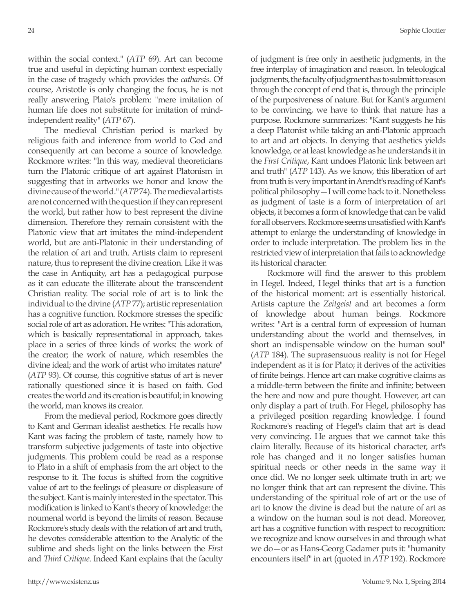within the social context." (*ATP* 69). Art can become true and useful in depicting human context especially in the case of tragedy which provides the *catharsis*. Of course, Aristotle is only changing the focus, he is not really answering Plato's problem: "mere imitation of human life does not substitute for imitation of mindindependent reality" (*ATP* 67).

The medieval Christian period is marked by religious faith and inference from world to God and consequently art can become a source of knowledge. Rockmore writes: "In this way, medieval theoreticians turn the Platonic critique of art against Platonism in suggesting that in artworks we honor and know the divine cause of the world." (*ATP* 74). The medieval artists are not concerned with the question if they can represent the world, but rather how to best represent the divine dimension. Therefore they remain consistent with the Platonic view that art imitates the mind-independent world, but are anti-Platonic in their understanding of the relation of art and truth. Artists claim to represent nature, thus to represent the divine creation. Like it was the case in Antiquity, art has a pedagogical purpose as it can educate the illiterate about the transcendent Christian reality. The social role of art is to link the individual to the divine (*ATP* 77); artistic representation has a cognitive function. Rockmore stresses the specific social role of art as adoration. He writes: "This adoration, which is basically representational in approach, takes place in a series of three kinds of works: the work of the creator; the work of nature, which resembles the divine ideal; and the work of artist who imitates nature" (*ATP* 93). Of course, this cognitive status of art is never rationally questioned since it is based on faith. God creates the world and its creation is beautiful; in knowing the world, man knows its creator.

From the medieval period, Rockmore goes directly to Kant and German idealist aesthetics. He recalls how Kant was facing the problem of taste, namely how to transform subjective judgements of taste into objective judgments. This problem could be read as a response to Plato in a shift of emphasis from the art object to the response to it. The focus is shifted from the cognitive value of art to the feelings of pleasure or displeasure of the subject. Kant is mainly interested in the spectator. This modification is linked to Kant's theory of knowledge: the noumenal world is beyond the limits of reason. Because Rockmore's study deals with the relation of art and truth, he devotes considerable attention to the Analytic of the sublime and sheds light on the links between the *First* and *Third Critique*. Indeed Kant explains that the faculty of judgment is free only in aesthetic judgments, in the free interplay of imagination and reason. In teleological judgments, the faculty of judgment has to submit to reason through the concept of end that is, through the principle of the purposiveness of nature. But for Kant's argument to be convincing, we have to think that nature has a purpose. Rockmore summarizes: "Kant suggests he his a deep Platonist while taking an anti-Platonic approach to art and art objects. In denying that aesthetics yields knowledge, or at least knowledge as he understands it in the *First Critique*, Kant undoes Platonic link between art and truth" (*ATP* 143). As we know, this liberation of art from truth is very important in Arendt's reading of Kant's political philosophy—I will come back to it. Nonetheless as judgment of taste is a form of interpretation of art objects, it becomes a form of knowledge that can be valid for all observers. Rockmore seems unsatisfied with Kant's attempt to enlarge the understanding of knowledge in order to include interpretation. The problem lies in the restricted view of interpretation that fails to acknowledge its historical character.

Rockmore will find the answer to this problem in Hegel. Indeed, Hegel thinks that art is a function of the historical moment: art is essentially historical. Artists capture the *Zeitgeist* and art becomes a form of knowledge about human beings. Rockmore writes: "Art is a central form of expression of human understanding about the world and themselves, in short an indispensable window on the human soul" (*ATP* 184). The suprasensuous reality is not for Hegel independent as it is for Plato; it derives of the activities of finite beings. Hence art can make cognitive claims as a middle-term between the finite and infinite; between the here and now and pure thought. However, art can only display a part of truth. For Hegel, philosophy has a privileged position regarding knowledge. I found Rockmore's reading of Hegel's claim that art is dead very convincing. He argues that we cannot take this claim literally. Because of its historical character, art's role has changed and it no longer satisfies human spiritual needs or other needs in the same way it once did. We no longer seek ultimate truth in art; we no longer think that art can represent the divine. This understanding of the spiritual role of art or the use of art to know the divine is dead but the nature of art as a window on the human soul is not dead. Moreover, art has a cognitive function with respect to recognition: we recognize and know ourselves in and through what we do—or as Hans-Georg Gadamer puts it: "humanity encounters itself" in art (quoted in *ATP* 192). Rockmore